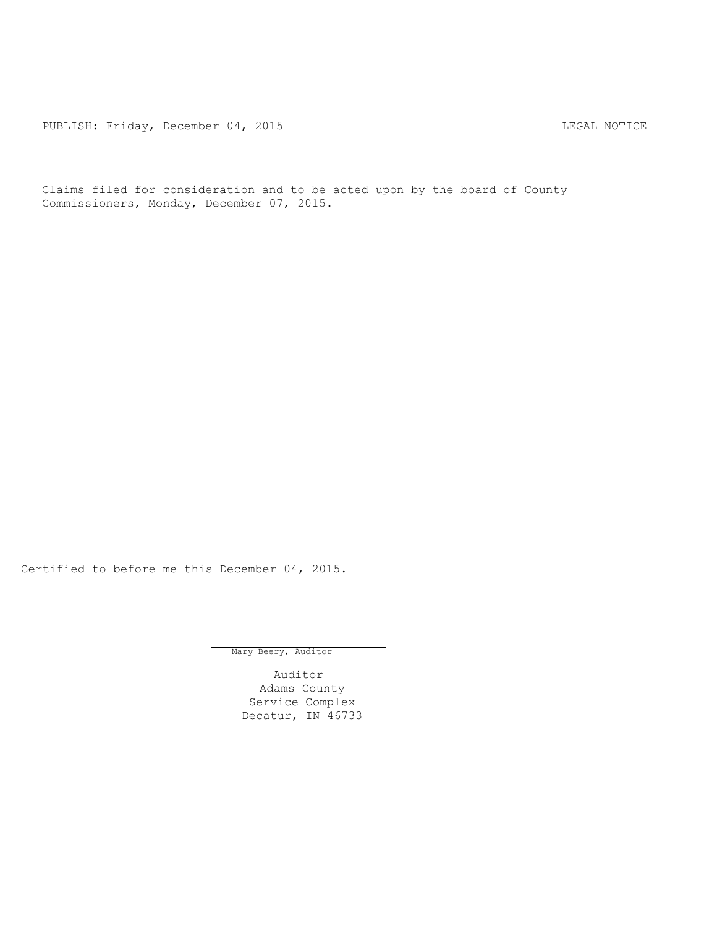PUBLISH: Friday, December 04, 2015 CHA CHANGE CONTROLLING MOTICE

Claims filed for consideration and to be acted upon by the board of County Commissioners, Monday, December 07, 2015.

Certified to before me this December 04, 2015.

Mary Beery, Auditor

Auditor Adams County Service Complex Decatur, IN 46733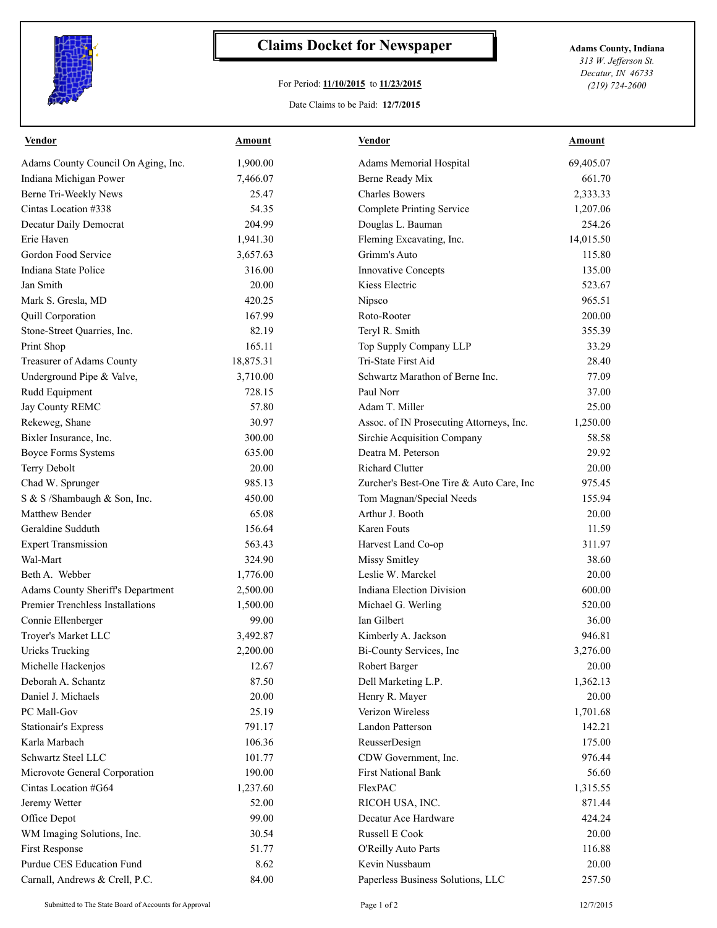

## **Claims Docket for Newspaper Adams County, Indiana**

## For Period: **11/10/2015** to **11/23/2015**

Date Claims to be Paid: **12/7/2015**

*313 W. Jefferson St. Decatur, IN 46733 (219) 724-2600*

| <b>Vendor</b>                            | <u>Amount</u> | <b>Vendor</b>                            | <b>Amount</b> |
|------------------------------------------|---------------|------------------------------------------|---------------|
| Adams County Council On Aging, Inc.      | 1,900.00      | Adams Memorial Hospital                  | 69,405.07     |
| Indiana Michigan Power                   | 7,466.07      | Berne Ready Mix                          | 661.70        |
| Berne Tri-Weekly News                    | 25.47         | <b>Charles Bowers</b>                    | 2,333.33      |
| Cintas Location #338                     | 54.35         | Complete Printing Service                | 1,207.06      |
| Decatur Daily Democrat                   | 204.99        | Douglas L. Bauman                        | 254.26        |
| Erie Haven                               | 1,941.30      | Fleming Excavating, Inc.                 | 14,015.50     |
| Gordon Food Service                      | 3,657.63      | Grimm's Auto                             | 115.80        |
| Indiana State Police                     | 316.00        | <b>Innovative Concepts</b>               | 135.00        |
| Jan Smith                                | 20.00         | Kiess Electric                           | 523.67        |
| Mark S. Gresla, MD                       | 420.25        | Nipsco                                   | 965.51        |
| <b>Quill Corporation</b>                 | 167.99        | Roto-Rooter                              | 200.00        |
| Stone-Street Quarries, Inc.              | 82.19         | Teryl R. Smith                           | 355.39        |
| Print Shop                               | 165.11        | Top Supply Company LLP                   | 33.29         |
| Treasurer of Adams County                | 18,875.31     | Tri-State First Aid                      | 28.40         |
| Underground Pipe & Valve,                | 3,710.00      | Schwartz Marathon of Berne Inc.          | 77.09         |
| Rudd Equipment                           | 728.15        | Paul Norr                                | 37.00         |
| Jay County REMC                          | 57.80         | Adam T. Miller                           | 25.00         |
| Rekeweg, Shane                           | 30.97         | Assoc. of IN Prosecuting Attorneys, Inc. | 1,250.00      |
| Bixler Insurance, Inc.                   | 300.00        | Sirchie Acquisition Company              | 58.58         |
| <b>Boyce Forms Systems</b>               | 635.00        | Deatra M. Peterson                       | 29.92         |
| Terry Debolt                             | 20.00         | Richard Clutter                          | 20.00         |
| Chad W. Sprunger                         | 985.13        | Zurcher's Best-One Tire & Auto Care, Inc | 975.45        |
| S & S /Shambaugh & Son, Inc.             | 450.00        | Tom Magnan/Special Needs                 | 155.94        |
| Matthew Bender                           | 65.08         | Arthur J. Booth                          | 20.00         |
| Geraldine Sudduth                        | 156.64        | Karen Fouts                              | 11.59         |
| <b>Expert Transmission</b>               | 563.43        | Harvest Land Co-op                       | 311.97        |
| Wal-Mart                                 | 324.90        | <b>Missy Smitley</b>                     | 38.60         |
| Beth A. Webber                           | 1,776.00      | Leslie W. Marckel                        | 20.00         |
| <b>Adams County Sheriff's Department</b> | 2,500.00      | Indiana Election Division                | 600.00        |
| Premier Trenchless Installations         | 1,500.00      | Michael G. Werling                       | 520.00        |
| Connie Ellenberger                       | 99.00         | Ian Gilbert                              | 36.00         |
| Troyer's Market LLC                      | 3,492.87      | Kimberly A. Jackson                      | 946.81        |
| <b>Uricks Trucking</b>                   | 2,200.00      | Bi-County Services, Inc.                 | 3,276.00      |
| Michelle Hackenjos                       | 12.67         | Robert Barger                            | 20.00         |
| Deborah A. Schantz                       | 87.50         | Dell Marketing L.P.                      | 1,362.13      |
| Daniel J. Michaels                       | 20.00         | Henry R. Mayer                           | 20.00         |
| PC Mall-Gov                              | 25.19         | Verizon Wireless                         | 1,701.68      |
| <b>Stationair's Express</b>              | 791.17        | Landon Patterson                         | 142.21        |
| Karla Marbach                            | 106.36        | ReusserDesign                            | 175.00        |
| Schwartz Steel LLC                       | 101.77        | CDW Government, Inc.                     | 976.44        |
| Microvote General Corporation            | 190.00        | <b>First National Bank</b>               | 56.60         |
| Cintas Location #G64                     | 1,237.60      | FlexPAC                                  | 1,315.55      |
| Jeremy Wetter                            | 52.00         | RICOH USA, INC.                          | 871.44        |
| Office Depot                             | 99.00         | Decatur Ace Hardware                     | 424.24        |
| WM Imaging Solutions, Inc.               | 30.54         | Russell E Cook                           | 20.00         |
| <b>First Response</b>                    | 51.77         | O'Reilly Auto Parts                      | 116.88        |
| Purdue CES Education Fund                | 8.62          | Kevin Nussbaum                           | 20.00         |
| Carnall, Andrews & Crell, P.C.           | 84.00         | Paperless Business Solutions, LLC        | 257.50        |